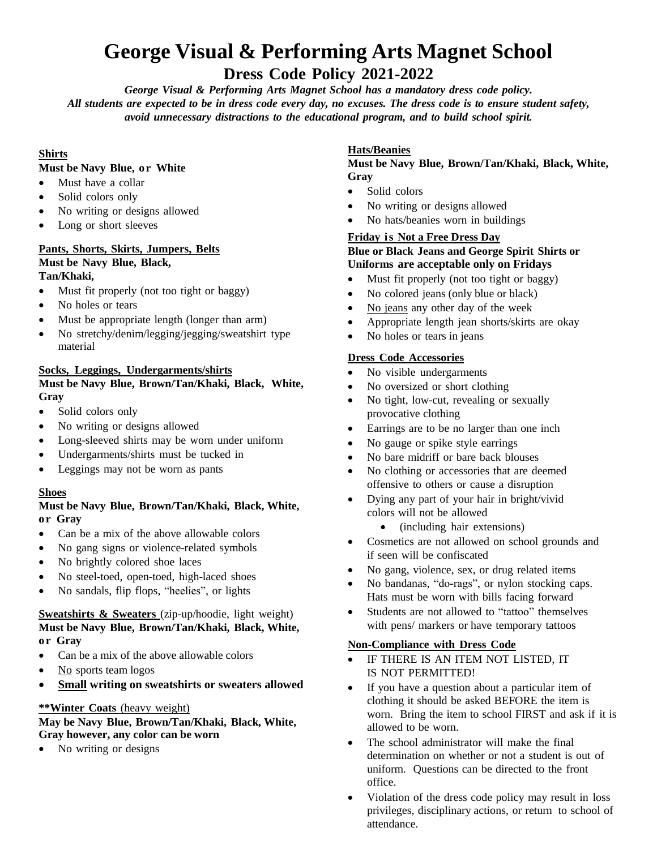# **George Visual & Performing Arts Magnet School**

# **Dress Code Policy 2021-2022**

*George Visual & Performing Arts Magnet School has a mandatory dress code policy.* All students are expected to be in dress code every day, no excuses. The dress code is to ensure student safety, *avoid unnecessary distractions to the educational program, and to build school spirit.*

# **Shirts**

## **Must be Navy Blue, or White**

- Must have a collar
- Solid colors only
- No writing or designs allowed
- Long or short sleeves

### **Pants, Shorts, Skirts, Jumpers, Belts Must be Navy Blue, Black, Tan/Khaki,**

- Must fit properly (not too tight or baggy)
- No holes or tears
- Must be appropriate length (longer than arm)
- No stretchy/denim/legging/jegging/sweatshirt type material

# **Socks, Leggings, Undergarments/shirts**

# **Must be Navy Blue, Brown/Tan/Khaki, Black, White, Gray**

- Solid colors only
- No writing or designs allowed
- Long-sleeved shirts may be worn under uniform
- Undergarments/shirts must be tucked in
- Leggings may not be worn as pants

# **Shoes**

### **Must be Navy Blue, Brown/Tan/Khaki, Black, White, or Gray**

- Can be a mix of the above allowable colors
- No gang signs or violence-related symbols
- No brightly colored shoe laces
- No steel-toed, open-toed, high-laced shoes
- No sandals, flip flops, "heelies", or lights

# **Sweatshirts & Sweaters** (zip-up/hoodie, light weight) **Must be Navy Blue, Brown/Tan/Khaki, Black, White, or Gray**

- Can be a mix of the above allowable colors
- No sports team logos
- **Small writing on sweatshirts or sweaters allowed**

# **\*\*Winter Coats** (heavy weight)

### **May be Navy Blue, Brown/Tan/Khaki, Black, White, Gray however, any color can be worn**

• No writing or designs

# **Hats/Beanies**

# **Must be Navy Blue, Brown/Tan/Khaki, Black, White, Gray**

- Solid colors
- No writing or designs allowed
- No hats/beanies worn in buildings

# **Friday is Not a Free Dress Day**

### **Blue or Black Jeans and George Spirit Shirts or Uniforms are acceptable only on Fridays**

- Must fit properly (not too tight or baggy)
- No colored jeans (only blue or black)
- No jeans any other day of the week
- Appropriate length jean shorts/skirts are okay
- No holes or tears in jeans

# **Dress Code Accessories**

- No visible undergarments
- No oversized or short clothing
- No tight, low-cut, revealing or sexually provocative clothing
- Earrings are to be no larger than one inch
- No gauge or spike style earrings
- No bare midriff or bare back blouses
- No clothing or accessories that are deemed offensive to others or cause a disruption
- Dying any part of your hair in bright/vivid colors will not be allowed
	- (including hair extensions)
- Cosmetics are not allowed on school grounds and if seen will be confiscated
- No gang, violence, sex, or drug related items
- No bandanas, "do-rags", or nylon stocking caps. Hats must be worn with bills facing forward
- Students are not allowed to "tattoo" themselves with pens/ markers or have temporary tattoos

### **Non-Compliance with Dress Code**

- IF THERE IS AN ITEM NOT LISTED, IT IS NOT PERMITTED!
- If you have a question about a particular item of clothing it should be asked BEFORE the item is worn. Bring the item to school FIRST and ask if it is allowed to be worn.
- The school administrator will make the final determination on whether or not a student is out of uniform. Questions can be directed to the front office.
- Violation of the dress code policy may result in loss privileges, disciplinary actions, or return to school of attendance.